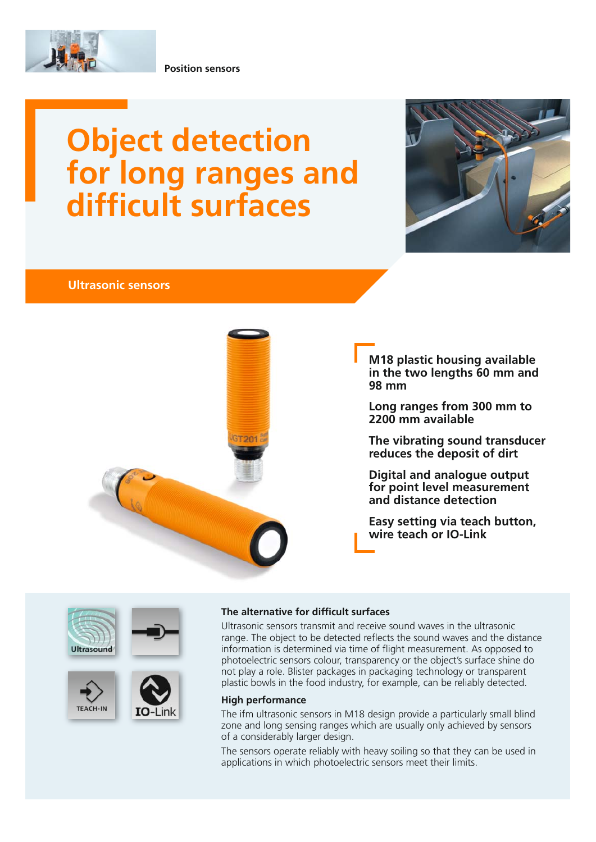

**Position sensors**

# **Object detection for long ranges and difficult surfaces**



### **Ultrasonic sensors**



**M18 plastic housing available in the two lengths 60 mm and 98 mm**

**Long ranges from 300 mm to 2200 mm available**

**The vibrating sound transducer reduces the deposit of dirt**

**Digital and analogue output for point level measurement and distance detection**

**Easy setting via teach button, wire teach or IO-Link**









Ultrasonic sensors transmit and receive sound waves in the ultrasonic range. The object to be detected reflects the sound waves and the distance information is determined via time of flight measurement. As opposed to photoelectric sensors colour, transparency or the object's surface shine do not play a role. Blister packages in packaging technology or transparent plastic bowls in the food industry, for example, can be reliably detected.

#### **High performance**

The ifm ultrasonic sensors in M18 design provide a particularly small blind zone and long sensing ranges which are usually only achieved by sensors of a considerably larger design.

The sensors operate reliably with heavy soiling so that they can be used in applications in which photoelectric sensors meet their limits.